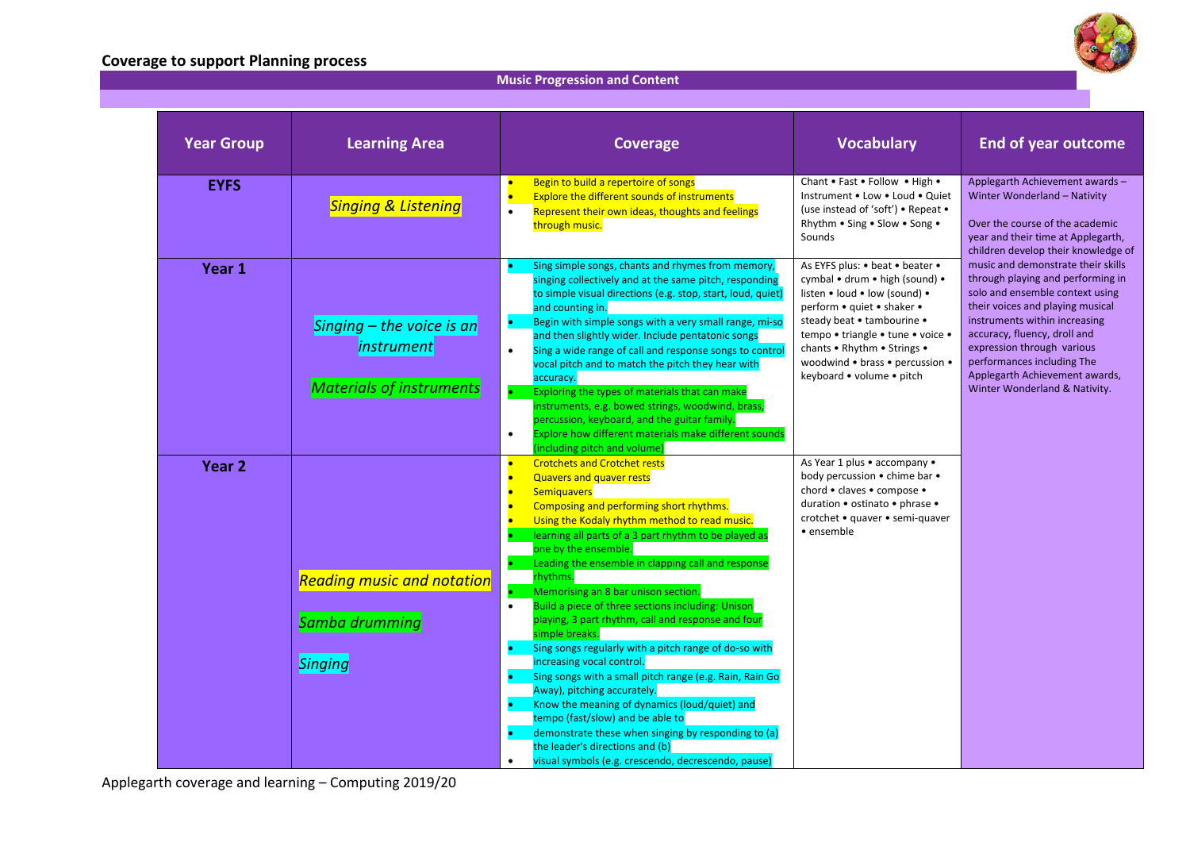## **Coverage to support Planning process**



## **Music Progression and Content**

|  | <b>Year Group</b> | <b>Learning Area</b>                                | <b>Coverage</b>                                                                                                                                                                                                                                                                                                                              | <b>Vocabulary</b>                                                                                                                                                              | <b>End of year outcome</b>                                                                                                                                                                                                                                                                                                                     |
|--|-------------------|-----------------------------------------------------|----------------------------------------------------------------------------------------------------------------------------------------------------------------------------------------------------------------------------------------------------------------------------------------------------------------------------------------------|--------------------------------------------------------------------------------------------------------------------------------------------------------------------------------|------------------------------------------------------------------------------------------------------------------------------------------------------------------------------------------------------------------------------------------------------------------------------------------------------------------------------------------------|
|  | <b>EYFS</b>       | <b>Singing &amp; Listening</b>                      | Begin to build a repertoire of songs<br>Explore the different sounds of instruments<br>Represent their own ideas, thoughts and feelings<br>through music.                                                                                                                                                                                    | Chant . Fast . Follow . High .<br>Instrument . Low . Loud . Quiet<br>(use instead of 'soft') • Repeat •<br>Rhythm • Sing • Slow • Song •<br>Sounds                             | Applegarth Achievement awards -<br>Winter Wonderland - Nativity<br>Over the course of the academic<br>year and their time at Applegarth,<br>children develop their knowledge of                                                                                                                                                                |
|  | Year 1            |                                                     | Sing simple songs, chants and rhymes from memory,<br>singing collectively and at the same pitch, responding<br>to simple visual directions (e.g. stop, start, loud, quiet)<br>and counting in.<br>Begin with simple songs with a very small range, mi-so<br>۰                                                                                | As EYFS plus: • beat • beater •<br>cymbal • drum • high (sound) •<br>listen • loud • low (sound) •<br>perform • quiet • shaker •<br>steady beat • tambourine •                 | music and demonstrate their skills<br>through playing and performing in<br>solo and ensemble context using<br>their voices and playing musical<br>instruments within increasing<br>accuracy, fluency, droll and<br>expression through various<br>performances including The<br>Applegarth Achievement awards,<br>Winter Wonderland & Nativity. |
|  |                   | Singing $-$ the voice is an<br><i>instrument</i>    | and then slightly wider. Include pentatonic songs<br>Sing a wide range of call and response songs to control<br>$\bullet$<br>vocal pitch and to match the pitch they hear with<br>accuracy.                                                                                                                                                  | tempo • triangle • tune • voice •<br>chants • Rhythm • Strings •<br>woodwind • brass • percussion •<br>keyboard • volume • pitch                                               |                                                                                                                                                                                                                                                                                                                                                |
|  |                   | <b>Materials of instruments</b>                     | Exploring the types of materials that can make<br>instruments, e.g. bowed strings, woodwind, brass,<br>percussion, keyboard, and the guitar family.<br>Explore how different materials make different sounds<br>$\bullet$<br>(including pitch and volume)                                                                                    |                                                                                                                                                                                |                                                                                                                                                                                                                                                                                                                                                |
|  | Year <sub>2</sub> |                                                     | <b>Crotchets and Crotchet rests</b><br>$\bullet$<br><b>Quavers and quaver rests</b><br><b>Semiguavers</b><br>Composing and performing short rhythms.<br>Using the Kodaly rhythm method to read music.<br>learning all parts of a 3 part rhythm to be played as<br>one by the ensemble.<br>Leading the ensemble in clapping call and response | As Year 1 plus . accompany .<br>body percussion • chime bar •<br>chord • claves • compose •<br>duration • ostinato • phrase •<br>crotchet • quaver • semi-quaver<br>• ensemble |                                                                                                                                                                                                                                                                                                                                                |
|  |                   | <b>Reading music and notation</b><br>Samba drumming | rhythms.<br>Memorising an 8 bar unison section.<br>Build a piece of three sections including: Unison<br>playing, 3 part rhythm, call and response and four                                                                                                                                                                                   |                                                                                                                                                                                |                                                                                                                                                                                                                                                                                                                                                |
|  |                   | Singing                                             | simple breaks.<br>Sing songs regularly with a pitch range of do-so with<br>increasing vocal control.<br>Sing songs with a small pitch range (e.g. Rain, Rain Go<br>Away), pitching accurately.                                                                                                                                               |                                                                                                                                                                                |                                                                                                                                                                                                                                                                                                                                                |
|  |                   |                                                     | Know the meaning of dynamics (loud/quiet) and<br>tempo (fast/slow) and be able to<br>demonstrate these when singing by responding to (a)<br>the leader's directions and (b)<br>visual symbols (e.g. crescendo, decrescendo, pause)<br>$\bullet$                                                                                              |                                                                                                                                                                                |                                                                                                                                                                                                                                                                                                                                                |

Applegarth coverage and learning – Computing 2019/20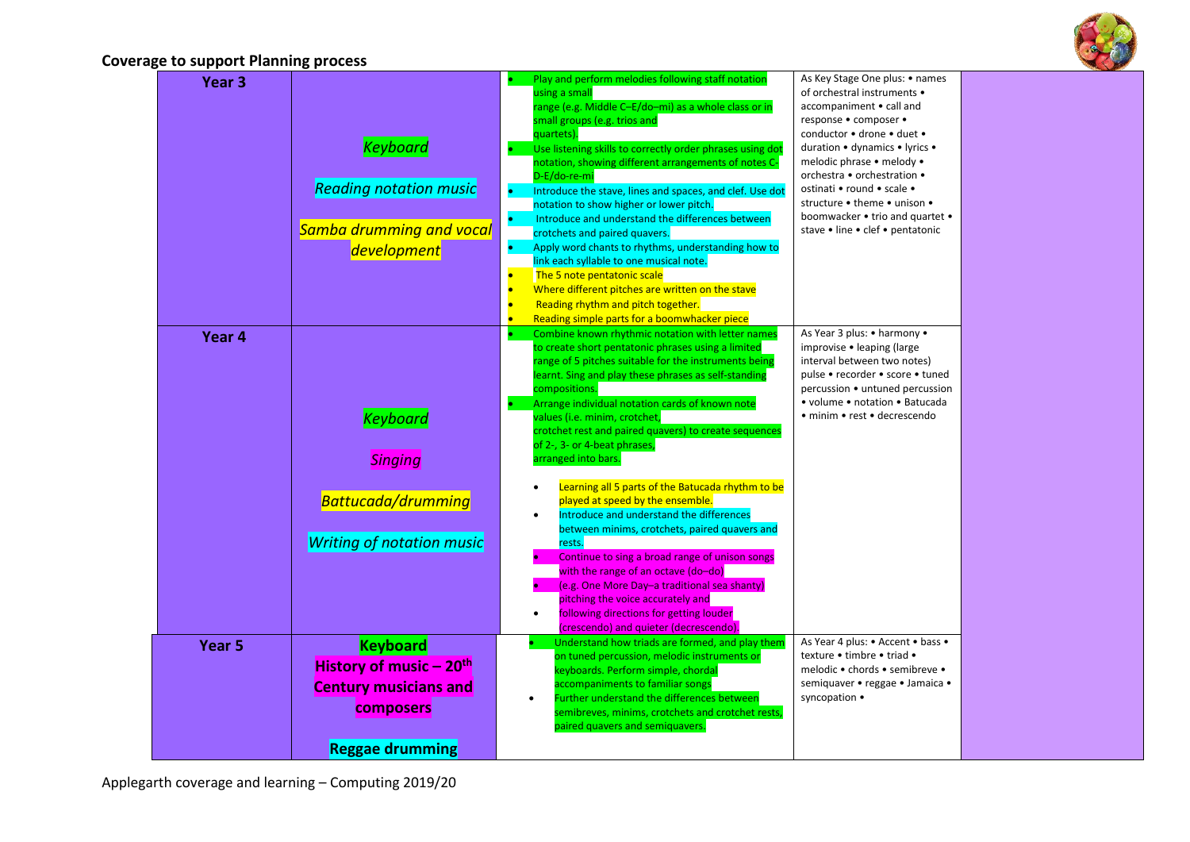

## **Coverage to support Planning process**

| Year <sub>3</sub> | <b>Keyboard</b>                                                                                                               | Play and perform melodies following staff notation<br>using a small<br>range (e.g. Middle C-E/do-mi) as a whole class or in<br>small groups (e.g. trios and<br>quartets).<br>Use listening skills to correctly order phrases using dot<br>notation, showing different arrangements of notes C-                                                                                                                                                                                                                   | As Key Stage One plus: • names<br>of orchestral instruments •<br>accompaniment • call and<br>response · composer ·<br>conductor • drone • duet •<br>duration • dynamics • lyrics •<br>melodic phrase • melody •                   |
|-------------------|-------------------------------------------------------------------------------------------------------------------------------|------------------------------------------------------------------------------------------------------------------------------------------------------------------------------------------------------------------------------------------------------------------------------------------------------------------------------------------------------------------------------------------------------------------------------------------------------------------------------------------------------------------|-----------------------------------------------------------------------------------------------------------------------------------------------------------------------------------------------------------------------------------|
|                   | <b>Reading notation music</b><br><b>Samba drumming and vocal</b><br>development                                               | D-E/do-re-mi<br>Introduce the stave, lines and spaces, and clef. Use dot<br>$\bullet$<br>notation to show higher or lower pitch.<br>Introduce and understand the differences between<br>٠<br>crotchets and paired quavers.<br>Apply word chants to rhythms, understanding how to<br>٠<br>link each syllable to one musical note.<br>$\bullet$<br>The 5 note pentatonic scale<br>Where different pitches are written on the stave<br>$\bullet$<br>Reading rhythm and pitch together.                              | orchestra • orchestration •<br>ostinati • round • scale •<br>structure . theme . unison .<br>boomwacker • trio and quartet •<br>stave • line • clef • pentatonic                                                                  |
| Year 4            | <b>Keyboard</b><br><b>Singing</b>                                                                                             | Reading simple parts for a boomwhacker piece<br>$\bullet$<br>Combine known rhythmic notation with letter names<br>to create short pentatonic phrases using a limited<br>range of 5 pitches suitable for the instruments being<br>learnt. Sing and play these phrases as self-standing<br>compositions.<br>Arrange individual notation cards of known note<br>۰.<br>values (i.e. minim, crotchet,<br>crotchet rest and paired quavers) to create sequences<br>of 2-, 3- or 4-beat phrases,<br>arranged into bars. | As Year 3 plus: • harmony •<br>improvise • leaping (large<br>interval between two notes)<br>pulse • recorder • score • tuned<br>percussion • untuned percussion<br>• volume • notation • Batucada<br>• minim • rest • decrescendo |
|                   | Battucada/drumming<br><b>Writing of notation music</b>                                                                        | Learning all 5 parts of the Batucada rhythm to be<br>played at speed by the ensemble.<br>Introduce and understand the differences<br>$\bullet$<br>between minims, crotchets, paired quavers and<br>rests.<br>Continue to sing a broad range of unison songs<br>with the range of an octave (do-do)<br>(e.g. One More Day-a traditional sea shanty)<br>pitching the voice accurately and<br>following directions for getting louder<br>(crescendo) and quieter (decrescendo).                                     |                                                                                                                                                                                                                                   |
| Year <sub>5</sub> | <b>Keyboard</b><br>History of music - 20 <sup>th</sup><br><b>Century musicians and</b><br>composers<br><b>Reggae drumming</b> | Understand how triads are formed, and play them<br>on tuned percussion, melodic instruments or<br>keyboards. Perform simple, chordal<br>accompaniments to familiar songs<br>Further understand the differences between<br>$\bullet$<br>semibreves, minims, crotchets and crotchet rests,<br>paired quavers and semiquavers.                                                                                                                                                                                      | As Year 4 plus: • Accent • bass •<br>texture • timbre • triad •<br>melodic • chords • semibreve •<br>semiquaver • reggae • Jamaica •<br>syncopation •                                                                             |

Applegarth coverage and learning – Computing 2019/20